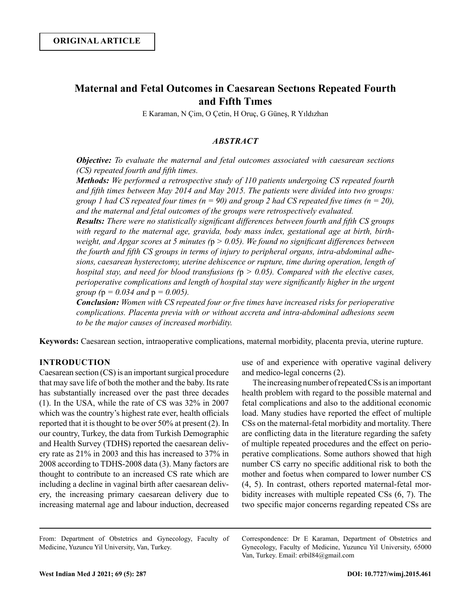# **Maternal and Fetal Outcomes in Caesarean Sectıons Repeated Fourth and Fıfth Tımes**

E Karaman, N Çim, O Çetin, H Oruç, G Güneş, R Yıldızhan

# *ABSTRACT*

*Objective: To evaluate the maternal and fetal outcomes associated with caesarean sections (CS) repeated fourth and fifth times.*

*Methods: We performed a retrospective study of 110 patients undergoing CS repeated fourth and fifth times between May 2014 and May 2015. The patients were divided into two groups: group 1 had CS repeated four times (n = 90) and group 2 had CS repeated five times (n = 20), and the maternal and fetal outcomes of the groups were retrospectively evaluated.*

*Results: There were no statistically significant differences between fourth and fifth CS groups with regard to the maternal age, gravida, body mass index, gestational age at birth, birthweight, and Apgar scores at 5 minutes (*p *> 0.05). We found no significant differences between the fourth and fifth CS groups in terms of injury to peripheral organs, intra-abdominal adhesions, caesarean hysterectomy, uterine dehiscence or rupture, time during operation, length of hospital stay, and need for blood transfusions (*p *> 0.05). Compared with the elective cases, perioperative complications and length of hospital stay were significantly higher in the urgent group (*p *= 0.034 and* p *= 0.005).* 

*Conclusion: Women with CS repeated four or five times have increased risks for perioperative complications. Placenta previa with or without accreta and intra-abdominal adhesions seem to be the major causes of increased morbidity.*

**Keywords:** Caesarean section, intraoperative complications, maternal morbidity, placenta previa, uterine rupture.

# **INTRODUCTION**

Caesarean section (CS) is an important surgical procedure that may save life of both the mother and the baby. Its rate has substantially increased over the past three decades (1). In the USA, while the rate of CS was 32% in 2007 which was the country's highest rate ever, health officials reported that it is thought to be over 50% at present (2). In our country, Turkey, the data from Turkish Demographic and Health Survey (TDHS) reported the caesarean delivery rate as 21% in 2003 and this has increased to 37% in 2008 according to TDHS-2008 data (3). Many factors are thought to contribute to an increased CS rate which are including a decline in vaginal birth after caesarean delivery, the increasing primary caesarean delivery due to increasing maternal age and labour induction, decreased use of and experience with operative vaginal delivery and medico-legal concerns (2).

The increasing number of repeated CSs is an important health problem with regard to the possible maternal and fetal complications and also to the additional economic load. Many studies have reported the effect of multiple CSs on the maternal-fetal morbidity and mortality. There are conflicting data in the literature regarding the safety of multiple repeated procedures and the effect on perioperative complications. Some authors showed that high number CS carry no specific additional risk to both the mother and foetus when compared to lower number CS (4, 5). In contrast, others reported maternal-fetal morbidity increases with multiple repeated CSs (6, 7). The two specific major concerns regarding repeated CSs are

Correspondence: Dr E Karaman, Department of Obstetrics and Gynecology, Faculty of Medicine, Yuzuncu Yil University, 65000 Van, Turkey. Email: erbil84@gmail.com

From: Department of Obstetrics and Gynecology, Faculty of Medicine, Yuzuncu Yil University, Van, Turkey.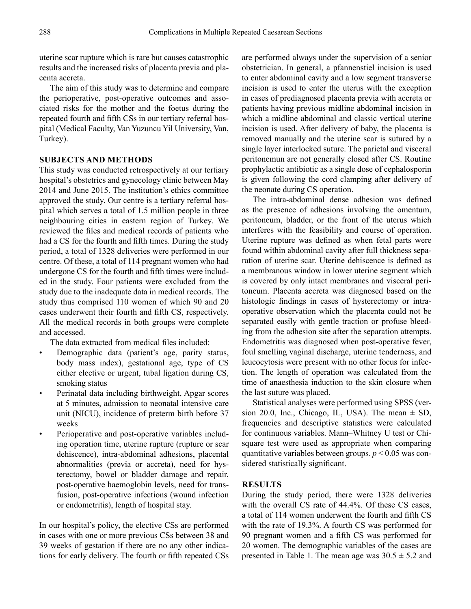uterine scar rupture which is rare but causes catastrophic results and the increased risks of placenta previa and placenta accreta.

The aim of this study was to determine and compare the perioperative, post-operative outcomes and associated risks for the mother and the foetus during the repeated fourth and fifth CSs in our tertiary referral hospital (Medical Faculty, Van Yuzuncu Yil University, Van, Turkey).

#### **SUBJECTS AND METHODS**

This study was conducted retrospectively at our tertiary hospital's obstetrics and gynecology clinic between May 2014 and June 2015. The institution's ethics committee approved the study. Our centre is a tertiary referral hospital which serves a total of 1.5 million people in three neighbouring cities in eastern region of Turkey. We reviewed the files and medical records of patients who had a CS for the fourth and fifth times. During the study period, a total of 1328 deliveries were performed in our centre. Of these, a total of 114 pregnant women who had undergone CS for the fourth and fifth times were included in the study. Four patients were excluded from the study due to the inadequate data in medical records. The study thus comprised 110 women of which 90 and 20 cases underwent their fourth and fifth CS, respectively. All the medical records in both groups were complete and accessed.

The data extracted from medical files included:

- Demographic data (patient's age, parity status, body mass index), gestational age, type of CS either elective or urgent, tubal ligation during CS, smoking status
- Perinatal data including birthweight, Apgar scores at 5 minutes, admission to neonatal intensive care unit (NICU), incidence of preterm birth before 37 weeks
- Perioperative and post-operative variables including operation time, uterine rupture (rupture or scar dehiscence), intra-abdominal adhesions, placental abnormalities (previa or accreta), need for hysterectomy, bowel or bladder damage and repair, post-operative haemoglobin levels, need for transfusion, post-operative infections (wound infection or endometritis), length of hospital stay.

In our hospital's policy, the elective CSs are performed in cases with one or more previous CSs between 38 and 39 weeks of gestation if there are no any other indications for early delivery. The fourth or fifth repeated CSs

are performed always under the supervision of a senior obstetrician. In general, a pfannenstiel incision is used to enter abdominal cavity and a low segment transverse incision is used to enter the uterus with the exception in cases of prediagnosed placenta previa with accreta or patients having previous midline abdominal incision in which a midline abdominal and classic vertical uterine incision is used. After delivery of baby, the placenta is removed manually and the uterine scar is sutured by a single layer interlocked suture. The parietal and visceral peritonemun are not generally closed after CS. Routine prophylactic antibiotic as a single dose of cephalosporin is given following the cord clamping after delivery of the neonate during CS operation.

The intra-abdominal dense adhesion was defined as the presence of adhesions involving the omentum, peritoneum, bladder, or the front of the uterus which interferes with the feasibility and course of operation. Uterine rupture was defined as when fetal parts were found within abdominal cavity after full thickness separation of uterine scar. Uterine dehiscence is defined as a membranous window in lower uterine segment which is covered by only intact membranes and visceral peritoneum. Placenta accreta was diagnosed based on the histologic findings in cases of hysterectomy or intraoperative observation which the placenta could not be separated easily with gentle traction or profuse bleeding from the adhesion site after the separation attempts. Endometritis was diagnosed when post-operative fever, foul smelling vaginal discharge, uterine tenderness, and leucocytosis were present with no other focus for infection. The length of operation was calculated from the time of anaesthesia induction to the skin closure when the last suture was placed.

Statistical analyses were performed using SPSS (version 20.0, Inc., Chicago, IL, USA). The mean  $\pm$  SD, frequencies and descriptive statistics were calculated for continuous variables. Mann–Whitney U test or Chisquare test were used as appropriate when comparing quantitative variables between groups. *p* < 0.05 was considered statistically significant.

#### **RESULTS**

During the study period, there were 1328 deliveries with the overall CS rate of 44.4%. Of these CS cases, a total of 114 women underwent the fourth and fifth CS with the rate of 19.3%. A fourth CS was performed for 90 pregnant women and a fifth CS was performed for 20 women. The demographic variables of the cases are presented in Table 1. The mean age was  $30.5 \pm 5.2$  and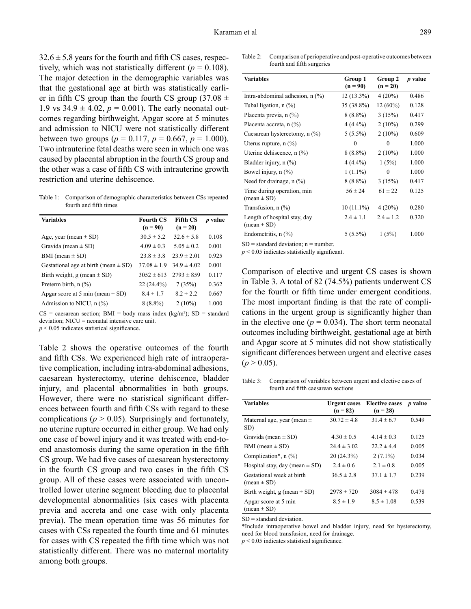$32.6 \pm 5.8$  years for the fourth and fifth CS cases, respectively, which was not statistically different ( $p = 0.108$ ). The major detection in the demographic variables was that the gestational age at birth was statistically earlier in fifth CS group than the fourth CS group  $(37.08 \pm 1)$ 1.9 vs  $34.9 \pm 4.02$ ,  $p = 0.001$ ). The early neonatal outcomes regarding birthweight, Apgar score at 5 minutes and admission to NICU were not statistically different between two groups ( $p = 0.117$ ,  $p = 0.667$ ,  $p = 1.000$ ). Two intrauterine fetal deaths were seen in which one was caused by placental abruption in the fourth CS group and the other was a case of fifth CS with intrauterine growth restriction and uterine dehiscence.

Table 1: Comparison of demographic characteristics between CSs repeated fourth and fifth times

| <b>Variables</b>                                  | <b>Fourth CS</b> | <b>Fifth CS</b> | <i>p</i> value |
|---------------------------------------------------|------------------|-----------------|----------------|
|                                                   | $(n = 90)$       | $(n = 20)$      |                |
| Age, year (mean $\pm$ SD)                         | $30.5 \pm 5.2$   | $32.6 \pm 5.8$  | 0.108          |
| Gravida (mean $\pm$ SD)                           | $4.09 \pm 0.3$   | $5.05 \pm 0.2$  | 0.001          |
| BMI (mean $\pm$ SD)                               | $23.8 \pm 3.8$   | $23.9 \pm 2.01$ | 0.925          |
| Gestational age at birth (mean $\pm$ SD)          | $37.08 \pm 1.9$  | $34.9 \pm 4.02$ | 0.001          |
| Birth weight, g (mean $\pm$ SD)                   | $3052 \pm 613$   | $2793 \pm 859$  | 0.117          |
| Preterm birth, $n$ $(\%)$                         | $22(24.4\%)$     | 7(35%)          | 0.362          |
| Apgar score at 5 min (mean $\pm$ SD)              | $8.4 \pm 1.7$    | $8.2 \pm 2.2$   | 0.667          |
| Admission to NICU, $n$ $\left(\frac{9}{6}\right)$ | $8(8.8\%)$       | $2(10\%)$       | 1.000          |

 $CS =$  caesarean section; BMI = body mass index (kg/m<sup>2</sup>); SD = standard deviation; NICU = neonatal intensive care unit.

 $p < 0.05$  indicates statistical significance.

Table 2 shows the operative outcomes of the fourth and fifth CSs. We experienced high rate of intraoperative complication, including intra-abdominal adhesions, caesarean hysterectomy, uterine dehiscence, bladder injury, and placental abnormalities in both groups. However, there were no statistical significant differences between fourth and fifth CSs with regard to these complications ( $p > 0.05$ ). Surprisingly and fortunately, no uterine rupture occurred in either group. We had only one case of bowel injury and it was treated with end-toend anastomosis during the same operation in the fifth CS group. We had five cases of caesarean hysterectomy in the fourth CS group and two cases in the fifth CS group. All of these cases were associated with uncontrolled lower uterine segment bleeding due to placental developmental abnormalities (six cases with placenta previa and accreta and one case with only placenta previa). The mean operation time was 56 minutes for cases with CSs repeated the fourth time and 61 minutes for cases with CS repeated the fifth time which was not statistically different. There was no maternal mortality among both groups.

Table 2: Comparison of perioperative and post-operative outcomes between fourth and fifth surgeries

| <b>Variables</b>                  | Group 1       | Group 2       | <i>p</i> value |
|-----------------------------------|---------------|---------------|----------------|
|                                   | $(n = 90)$    | $(n = 20)$    |                |
| Intra-abdominal adhesion, $n$ (%) | $12(13.3\%)$  | 4(20%)        | 0.486          |
| Tubal ligation, $n$ $(\%)$        | 35 (38.8%)    | $12(60\%)$    | 0.128          |
| Placenta previa, n (%)            | 8 (8.8%)      | 3(15%)        | 0.417          |
| Placenta accreta, n (%)           | $4(4.4\%)$    | $2(10\%)$     | 0.299          |
| Caesarean hysterectomy, n (%)     | $5(5.5\%)$    | $2(10\%)$     | 0.609          |
| Uterus rupture, $n$ $(\%)$        | 0             | $\theta$      | 1.000          |
| Uterine dehiscence, $n$ $(\%)$    | $8(8.8\%)$    | $2(10\%)$     | 1.000          |
| Bladder injury, $n$ $(\%)$        | $4(4.4\%)$    | 1(5%)         | 1.000          |
| Bowel injury, $n$ $(\%)$          | $1(1.1\%)$    | $\theta$      | 1.000          |
| Need for drainage, n (%)          | 8 (8.8%)      | 3(15%)        | 0.417          |
| Time during operation, min        | $56 \pm 24$   | $61 \pm 22$   | 0.125          |
| $mean \pm SD$                     |               |               |                |
| Transfusion, $n$ $(\%)$           | $10(11.1\%)$  | $4(20\%)$     | 0.280          |
| Length of hospital stay, day      | $2.4 \pm 1.1$ | $2.4 \pm 1.2$ | 0.320          |
| $(\text{mean} \pm \text{SD})$     |               |               |                |
| Endometritis, $n$ $(\%)$          | $5(5.5\%)$    | 1(5%)         | 1.000          |

 $SD = standard deviation: n = number$ 

*p* < 0.05 indicates statistically significant.

Comparison of elective and urgent CS cases is shown in Table 3. A total of 82 (74.5%) patients underwent CS for the fourth or fifth time under emergent conditions. The most important finding is that the rate of complications in the urgent group is significantly higher than in the elective one ( $p = 0.034$ ). The short term neonatal outcomes including birthweight, gestational age at birth and Apgar score at 5 minutes did not show statistically significant differences between urgent and elective cases  $(p > 0.05)$ .

Table 3: Comparison of variables between urgent and elective cases of fourth and fifth caesarean sections

| <b>Variables</b>                                           | <b>Urgent cases</b><br>$(n = 82)$ | <b>Elective cases</b><br>$(n = 28)$ | <i>p</i> value |
|------------------------------------------------------------|-----------------------------------|-------------------------------------|----------------|
| Maternal age, year (mean $\pm$<br>SD)                      | $30.72 \pm 4.8$                   | $31.4 \pm 6.7$                      | 0.549          |
| Gravida (mean $\pm$ SD)                                    | $4.30 \pm 0.5$                    | $4.14 \pm 0.3$                      | 0.125          |
| BMI (mean $\pm$ SD)                                        | $24.4 \pm 3.02$                   | $22.2 \pm 4.4$                      | 0.005          |
| Complication*, $n$ (%)                                     | 20(24.3%)                         | $2(7.1\%)$                          | 0.034          |
| Hospital stay, day (mean $\pm$ SD)                         | $2.4 \pm 0.6$                     | $2.1 \pm 0.8$                       | 0.005          |
| Gestational week at birth<br>$(\text{mean} \pm \text{SD})$ | $36.5 \pm 2.8$                    | $37.1 \pm 1.7$                      | 0.239          |
| Birth weight, g (mean $\pm$ SD)                            | $2978 \pm 720$                    | $3084 \pm 478$                      | 0.478          |
| Apgar score at 5 min<br>$(mean \pm SD)$                    | $8.5 \pm 1.9$                     | $8.5 \pm 1.08$                      | 0.539          |

 $SD = standard deviation$ .

\*Include intraoperative bowel and bladder injury, need for hysterectomy, need for blood transfusion, need for drainage.

 $p < 0.05$  indicates statistical significance.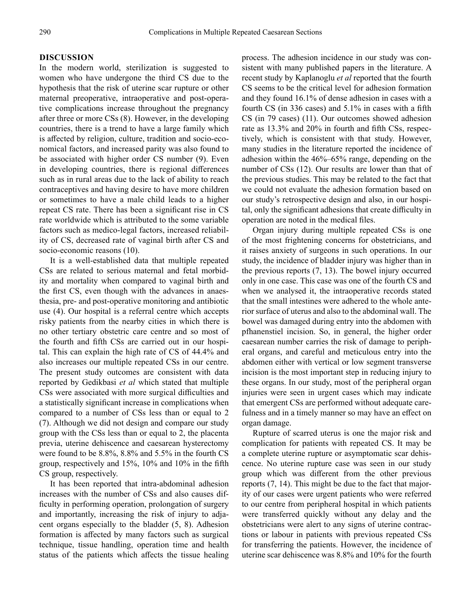#### **DISCUSSION**

In the modern world, sterilization is suggested to women who have undergone the third CS due to the hypothesis that the risk of uterine scar rupture or other maternal preoperative, intraoperative and post-operative complications increase throughout the pregnancy after three or more CSs (8). However, in the developing countries, there is a trend to have a large family which is affected by religion, culture, tradition and socio-economical factors, and increased parity was also found to be associated with higher order CS number (9). Even in developing countries, there is regional differences such as in rural areas due to the lack of ability to reach contraceptives and having desire to have more children or sometimes to have a male child leads to a higher repeat CS rate. There has been a significant rise in CS rate worldwide which is attributed to the some variable factors such as medico-legal factors, increased reliability of CS, decreased rate of vaginal birth after CS and socio-economic reasons (10).

It is a well-established data that multiple repeated CSs are related to serious maternal and fetal morbidity and mortality when compared to vaginal birth and the first CS, even though with the advances in anaesthesia, pre- and post-operative monitoring and antibiotic use (4). Our hospital is a referral centre which accepts risky patients from the nearby cities in which there is no other tertiary obstetric care centre and so most of the fourth and fifth CSs are carried out in our hospital. This can explain the high rate of CS of 44.4% and also increases our multiple repeated CSs in our centre. The present study outcomes are consistent with data reported by Gedikbasi *et al* which stated that multiple CSs were associated with more surgical difficulties and a statistically significant increase in complications when compared to a number of CSs less than or equal to 2 (7). Although we did not design and compare our study group with the CSs less than or equal to 2, the placenta previa, uterine dehiscence and caesarean hysterectomy were found to be 8.8%, 8.8% and 5.5% in the fourth CS group, respectively and 15%, 10% and 10% in the fifth CS group, respectively.

It has been reported that intra-abdominal adhesion increases with the number of CSs and also causes difficulty in performing operation, prolongation of surgery and importantly, increasing the risk of injury to adjacent organs especially to the bladder (5, 8). Adhesion formation is affected by many factors such as surgical technique, tissue handling, operation time and health status of the patients which affects the tissue healing process. The adhesion incidence in our study was consistent with many published papers in the literature. A recent study by Kaplanoglu *et al* reported that the fourth CS seems to be the critical level for adhesion formation and they found 16.1% of dense adhesion in cases with a fourth CS (in 336 cases) and 5.1% in cases with a fifth CS (in 79 cases) (11). Our outcomes showed adhesion rate as 13.3% and 20% in fourth and fifth CSs, respectively, which is consistent with that study. However, many studies in the literature reported the incidence of adhesion within the 46%–65% range, depending on the number of CSs (12). Our results are lower than that of the previous studies. This may be related to the fact that we could not evaluate the adhesion formation based on our study's retrospective design and also, in our hospital, only the significant adhesions that create difficulty in operation are noted in the medical files.

Organ injury during multiple repeated CSs is one of the most frightening concerns for obstetricians, and it raises anxiety of surgeons in such operations. In our study, the incidence of bladder injury was higher than in the previous reports (7, 13). The bowel injury occurred only in one case. This case was one of the fourth CS and when we analysed it, the intraoperative records stated that the small intestines were adhered to the whole anterior surface of uterus and also to the abdominal wall. The bowel was damaged during entry into the abdomen with pfhanenstiel incision. So, in general, the higher order caesarean number carries the risk of damage to peripheral organs, and careful and meticulous entry into the abdomen either with vertical or low segment transverse incision is the most important step in reducing injury to these organs. In our study, most of the peripheral organ injuries were seen in urgent cases which may indicate that emergent CSs are performed without adequate carefulness and in a timely manner so may have an effect on organ damage.

Rupture of scarred uterus is one the major risk and complication for patients with repeated CS. It may be a complete uterine rupture or asymptomatic scar dehiscence. No uterine rupture case was seen in our study group which was different from the other previous reports (7, 14). This might be due to the fact that majority of our cases were urgent patients who were referred to our centre from peripheral hospital in which patients were transferred quickly without any delay and the obstetricians were alert to any signs of uterine contractions or labour in patients with previous repeated CSs for transferring the patients. However, the incidence of uterine scar dehiscence was 8.8% and 10% for the fourth